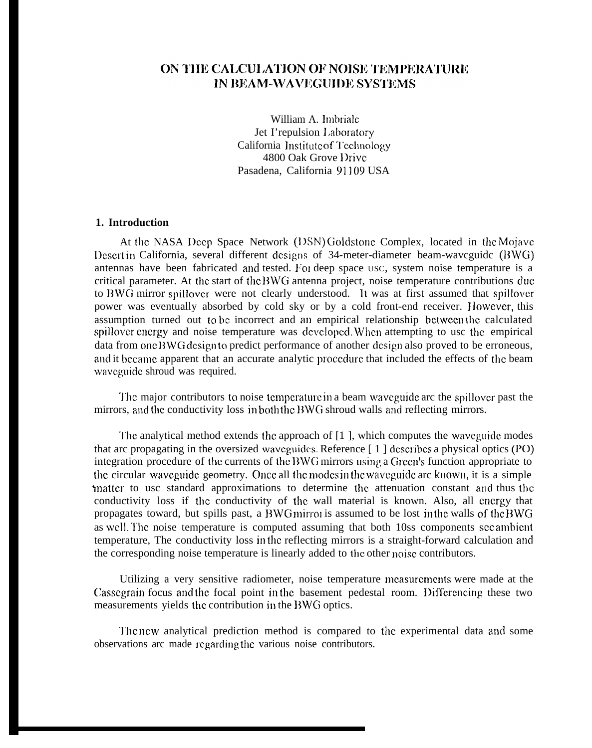# ON THE CALCULATION OF NOISE TEMPERATURE IN BEAM-WAVEGUIDE SYSTEMS

William A. lmbriale Jet I'repulsion 1.aboratory California Institute of Technology 4800 Oak Grove lhivc Pasadena, California 91109 USA

## **1. Introduction**

At the NASA Deep Space Network (DSN) Goldstone Complex, located in the Mojave I)cscrt in California, several different designs of 34-meter-diameter beam-wavcguidc (BWG) antennas have been fabricated and tested. For deep space USC, system noise temperature is a critical parameter. At the start of the BWG antenna project, noise temperature contributions due to DWG mirror spillover were not clearly understood. It was at first assumed that spillovcr power was eventually absorbed by cold sky or by a cold front-end receiver. However, this assumption turned out to be incorrect and an empirical relationship bctwccn the calculated spillover energy and noise temperature was developed. When attempting to usc the empirical data from one BWG design to predict performance of another design also proved to be erroneous, and it became apparent that an accurate analytic proccdurc that included the effects of the beam wavcguidc shroud was required.

'1'hc major contributors to noise tcmpcraturc in a beam wavcguidc arc the spillovcr past the mirrors, and the conductivity loss in both the BWG shroud walls and reflecting mirrors.

The analytical method extends the approach of [1], which computes the waveguide modes that arc propagating in the oversized waveguides. Reference  $\lceil 1 \rceil$  describes a physical optics (PO) integration procedure of the currents of the BWG mirrors using a Green's function appropriate to the circular wavcguidc geometry. Oncc all the moclcs in the wavcguidc arc known, it is a simple matter to usc standard approximations to determine the attenuation constant and thus the conductivity loss if the conductivity of the wall material is known. Also, all energy that propagates toward, but spills past, a BWG mirror is assumed to be lost in the walls of the BWG as well. The noise temperature is computed assuming that both 10ss components see ambient temperature, The conductivity loss in the reflecting mirrors is a straight-forward calculation and the corresponding noise temperature is linearly added to the other noise contributors.

Utilizing a very sensitive radiometer, noise temperature mcasurcmcnts were made at the Cassegrain focus and the focal point in the basement pedestal room. Differencing these two measurements yields the contribution in the BWG optics.

'1'hc new analytical prediction method is compared to the experimental data and some observations arc made regarding the various noise contributors.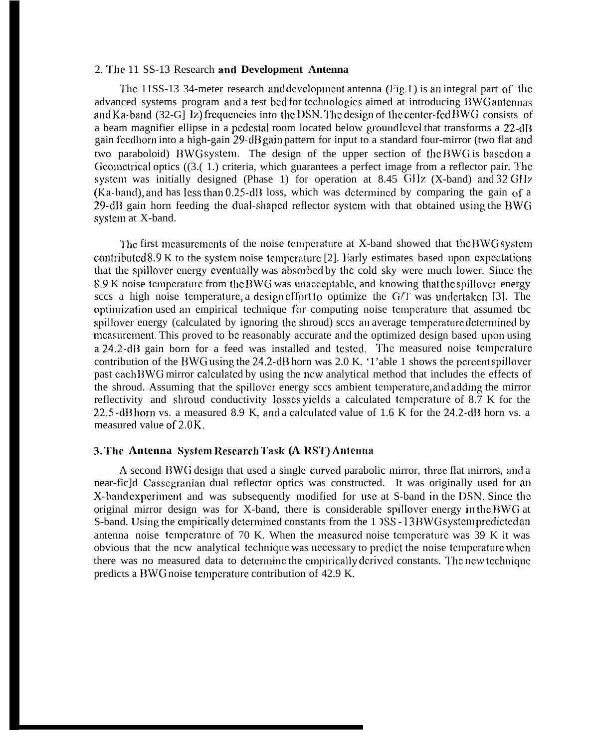#### 2. '1'hc 11 SS-13 Research and **Development Antenna**

The 11SS-13 34-meter research and development antenna  $(Fig. 1)$  is an integral part of the advanced systems program and a test bed for technologies aimed at introducing BWG antennas and Ka-band  $(32-G)$  Iz) frequencies into the DSN. The design of the center-fed BWG consists of a beam magnifier ellipse in a pedestal room located below ground level that transforms a 22-dB gain feedhorn into a high-gain 29-dB gain pattern for input to a standard four-mirror (two flat and two paraboloid) BWG system. The design of the upper section of the BWG is based on a Geometrical optics ((3.(1.) criteria, which guarantees a perfect image from a reflector pair. The systcm was initially designed (Phase 1) for operation at 8.45 GIIz (X-band) and **32 GIIX**  $(Ka-band)$ , and has less than 0.25-dB loss, which was determined by comparing the gain of a 29-dB gain horn feeding the dual-shaped reflector system with that obtained using the BWG systcm at X-band.

The first measurements of the noise temperature at X-band showed that the BWG system contributed  $8.9$  K to the system noise temperature [2]. Early estimates based upon expectations that the spillover energy eventually was absorbed by the cold sky were much lower. Since the 8.9 K noise temperature from the BWG was unacceptable, and knowing that the spillover energy sccs a high noise temperature, a design effort to optimize the  $G/T$  was undertaken [3]. The optimization used an empirical technique for computing noise tcmpcraturc that assumed tbc spillover energy (calculated by ignoring the shroud) sccs an average temperature determined by mcasurcmcnt. This proved to bc reasonably accurate and the optimized design based upon using a 24.2-dB gain born for a feed was installed and tested. The measured noise temperature contribution of the BWG using the 24.2-dB horn was 2.0 K. '1'able 1 shows the percent spillover past cach BWG mirror calculated by using the new analytical method that includes the effects of the shroud. Assuming that the spillovcr energy sccs ambient tcmpcraturc, and adding the mirror reflectivity and shroud conductivity losses yields a calculated temperature of 8.7 K for the  $22.5$ -dB horn vs. a measured 8.9 K, and a calculated value of 1.6 K for the 24.2-dB horn vs. a measured value of  $2.0 K$ .

## **3. '1'hc Antenna Systc,m Rcscarcb "l'ask (A RS'1') Antenna**

A second BWG design that used a single curved parabolic mirror, three flat mirrors, and a near-fic]d Casscgranian dual reflector optics was constructed. It was originally used for an X-band experiment and was subsequently modified for use at S-band in the DSN. Since the original mirror design was for X-band, there is considerable spillover energy in the BWG at S-band. Using the empirically determined constants from the 1  $\text{)SS}-13 \text{BWG}$  system predicted an antenna noise temperature of  $70$  K. When the measured noise temperature was  $39$  K it was obvious that the ncw analytical technique was necessary to predict the noise temperature when there was no measured data to determine the empirically derived constants. The new technique predicts a DWG noise tcmpcraturc contribution of 42.9 K.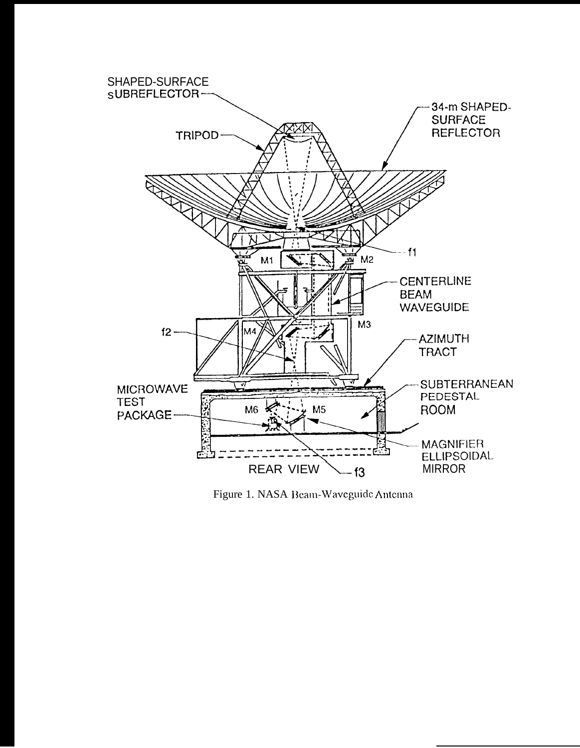

Figure 1. NASA Beam-Waveguide Antenna